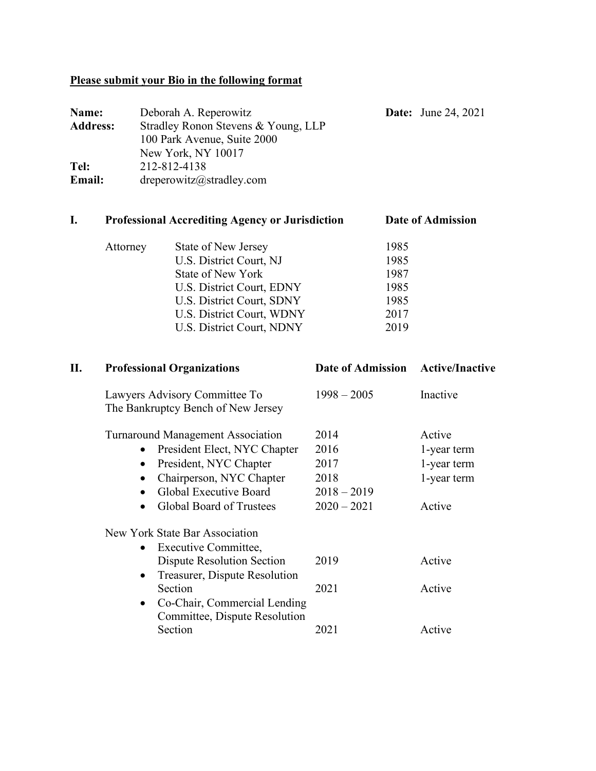# **Please submit your Bio in the following format**

| Name:           | Deborah A. Reperowitz               | <b>Date:</b> June 24, 2021 |
|-----------------|-------------------------------------|----------------------------|
| <b>Address:</b> | Stradley Ronon Stevens & Young, LLP |                            |
|                 | 100 Park Avenue, Suite 2000         |                            |
|                 | New York, NY 10017                  |                            |
| Tel:            | 212-812-4138                        |                            |
| Email:          | dreperowitz@stradley.com            |                            |

# **I. Professional Accrediting Agency or Jurisdiction Date of Admission**

| Attorney | State of New Jersey       | 1985 |
|----------|---------------------------|------|
|          | U.S. District Court, NJ   | 1985 |
|          | State of New York         | 1987 |
|          | U.S. District Court, EDNY | 1985 |
|          | U.S. District Court, SDNY | 1985 |
|          | U.S. District Court, WDNY | 2017 |
|          | U.S. District Court, NDNY | 2019 |
|          |                           |      |

| П. | <b>Professional Organizations</b>                                          | Date of Admission Active/Inactive |             |
|----|----------------------------------------------------------------------------|-----------------------------------|-------------|
|    | Lawyers Advisory Committee To<br>The Bankruptcy Bench of New Jersey        | $1998 - 2005$                     | Inactive    |
|    | <b>Turnaround Management Association</b>                                   | 2014                              | Active      |
|    | President Elect, NYC Chapter<br>$\bullet$                                  | 2016                              | 1-year term |
|    | President, NYC Chapter<br>$\bullet$                                        | 2017                              | 1-year term |
|    | Chairperson, NYC Chapter                                                   | 2018                              | 1-year term |
|    | Global Executive Board                                                     | $2018 - 2019$                     |             |
|    | <b>Global Board of Trustees</b>                                            | $2020 - 2021$                     | Active      |
|    | New York State Bar Association                                             |                                   |             |
|    | Executive Committee,<br>$\bullet$                                          |                                   |             |
|    | Dispute Resolution Section                                                 | 2019                              | Active      |
|    | Treasurer, Dispute Resolution<br>$\bullet$                                 |                                   |             |
|    | Section                                                                    | 2021                              | Active      |
|    | Co-Chair, Commercial Lending<br>$\bullet$<br>Committee, Dispute Resolution |                                   |             |
|    | Section                                                                    | 2021                              | Active      |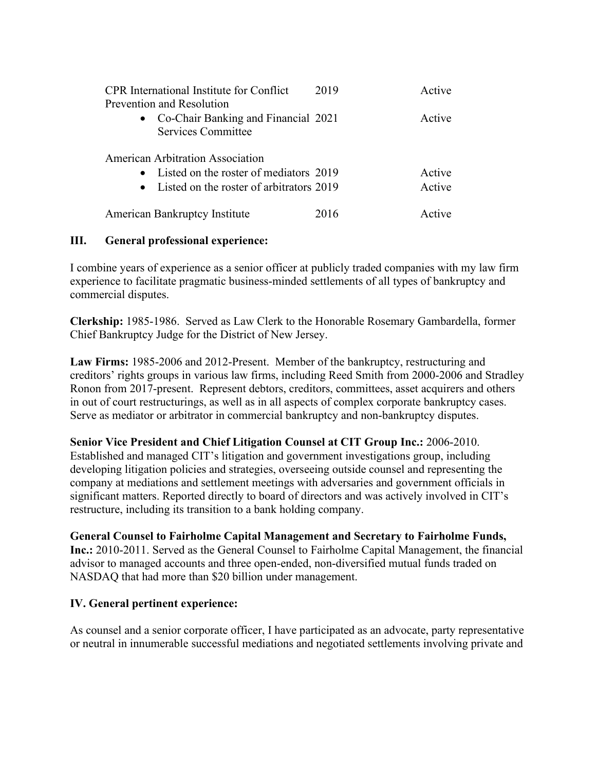| <b>CPR</b> International Institute for Conflict<br>Prevention and Resolution | 2019 | Active        |  |  |  |
|------------------------------------------------------------------------------|------|---------------|--|--|--|
| • Co-Chair Banking and Financial 2021<br><b>Services Committee</b>           |      | Active        |  |  |  |
| <b>American Arbitration Association</b>                                      |      |               |  |  |  |
| • Listed on the roster of mediators 2019                                     |      | Active        |  |  |  |
| • Listed on the roster of arbitrators 2019                                   |      | Active        |  |  |  |
| <b>American Bankruptcy Institute</b>                                         | 2016 | $\Lambda$ oti |  |  |  |

## **III. General professional experience:**

I combine years of experience as a senior officer at publicly traded companies with my law firm experience to facilitate pragmatic business-minded settlements of all types of bankruptcy and commercial disputes.

**Clerkship:** 1985-1986. Served as Law Clerk to the Honorable Rosemary Gambardella, former Chief Bankruptcy Judge for the District of New Jersey.

**Law Firms:** 1985-2006 and 2012-Present. Member of the bankruptcy, restructuring and creditors' rights groups in various law firms, including Reed Smith from 2000-2006 and Stradley Ronon from 2017-present. Represent debtors, creditors, committees, asset acquirers and others in out of court restructurings, as well as in all aspects of complex corporate bankruptcy cases. Serve as mediator or arbitrator in commercial bankruptcy and non-bankruptcy disputes.

#### **Senior Vice President and Chief Litigation Counsel at CIT Group Inc.:** 2006-2010.

Established and managed CIT's litigation and government investigations group, including developing litigation policies and strategies, overseeing outside counsel and representing the company at mediations and settlement meetings with adversaries and government officials in significant matters. Reported directly to board of directors and was actively involved in CIT's restructure, including its transition to a bank holding company.

#### **General Counsel to Fairholme Capital Management and Secretary to Fairholme Funds,**

**Inc.:** 2010-2011. Served as the General Counsel to Fairholme Capital Management, the financial advisor to managed accounts and three open-ended, non-diversified mutual funds traded on NASDAQ that had more than \$20 billion under management.

#### **IV. General pertinent experience:**

As counsel and a senior corporate officer, I have participated as an advocate, party representative or neutral in innumerable successful mediations and negotiated settlements involving private and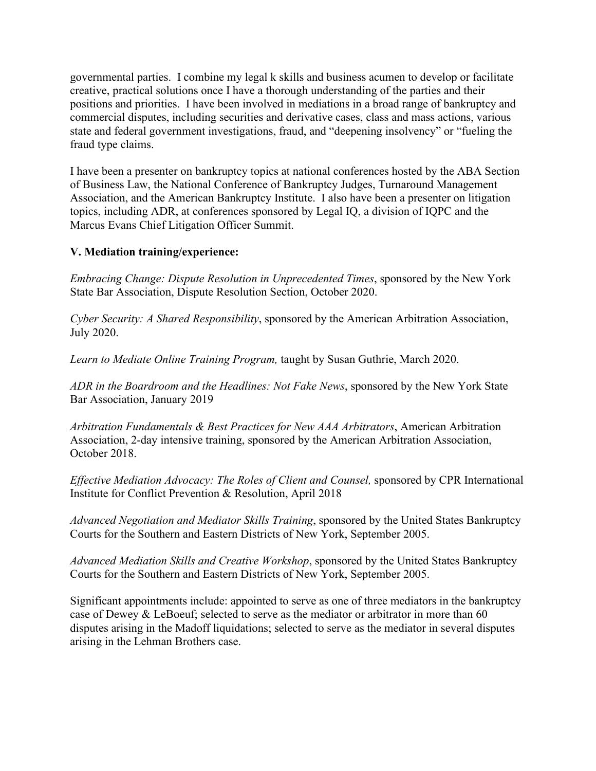governmental parties. I combine my legal k skills and business acumen to develop or facilitate creative, practical solutions once I have a thorough understanding of the parties and their positions and priorities. I have been involved in mediations in a broad range of bankruptcy and commercial disputes, including securities and derivative cases, class and mass actions, various state and federal government investigations, fraud, and "deepening insolvency" or "fueling the fraud type claims.

I have been a presenter on bankruptcy topics at national conferences hosted by the ABA Section of Business Law, the National Conference of Bankruptcy Judges, Turnaround Management Association, and the American Bankruptcy Institute. I also have been a presenter on litigation topics, including ADR, at conferences sponsored by Legal IQ, a division of IQPC and the Marcus Evans Chief Litigation Officer Summit.

# **V. Mediation training/experience:**

*Embracing Change: Dispute Resolution in Unprecedented Times*, sponsored by the New York State Bar Association, Dispute Resolution Section, October 2020.

*Cyber Security: A Shared Responsibility*, sponsored by the American Arbitration Association, July 2020.

*Learn to Mediate Online Training Program,* taught by Susan Guthrie, March 2020.

*ADR in the Boardroom and the Headlines: Not Fake News*, sponsored by the New York State Bar Association, January 2019

*Arbitration Fundamentals & Best Practices for New AAA Arbitrators*, American Arbitration Association, 2-day intensive training, sponsored by the American Arbitration Association, October 2018.

*Effective Mediation Advocacy: The Roles of Client and Counsel,* sponsored by CPR International Institute for Conflict Prevention & Resolution, April 2018

*Advanced Negotiation and Mediator Skills Training*, sponsored by the United States Bankruptcy Courts for the Southern and Eastern Districts of New York, September 2005.

*Advanced Mediation Skills and Creative Workshop*, sponsored by the United States Bankruptcy Courts for the Southern and Eastern Districts of New York, September 2005.

Significant appointments include: appointed to serve as one of three mediators in the bankruptcy case of Dewey & LeBoeuf; selected to serve as the mediator or arbitrator in more than 60 disputes arising in the Madoff liquidations; selected to serve as the mediator in several disputes arising in the Lehman Brothers case.